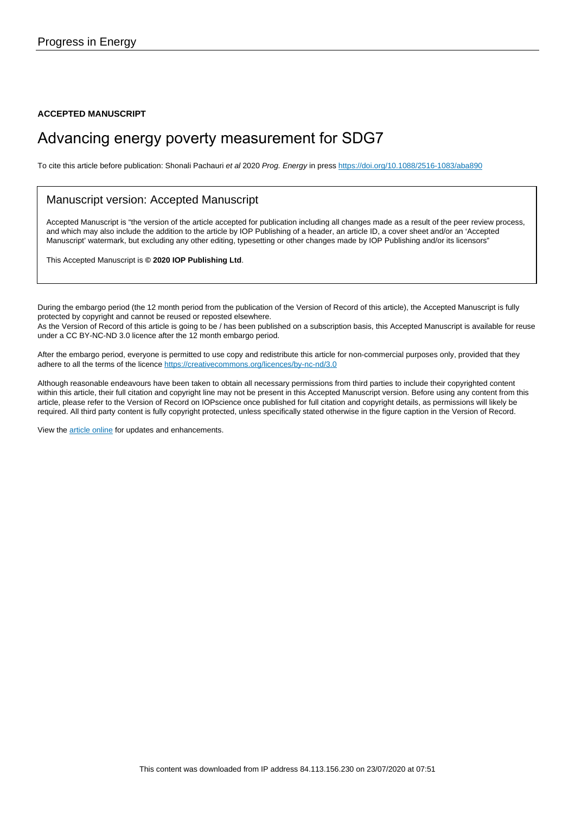**ACCEPTED MANUSCRIPT**

## Advancing energy poverty measurement for SDG7

To cite this article before publication: Shonali Pachauri et al 2020 Prog. Energy in press <https://doi.org/10.1088/2516-1083/aba890>

#### Manuscript version: Accepted Manuscript

Accepted Manuscript is "the version of the article accepted for publication including all changes made as a result of the peer review process, and which may also include the addition to the article by IOP Publishing of a header, an article ID, a cover sheet and/or an 'Accepted Manuscript' watermark, but excluding any other editing, typesetting or other changes made by IOP Publishing and/or its licensors"

This Accepted Manuscript is **© 2020 IOP Publishing Ltd**.

During the embargo period (the 12 month period from the publication of the Version of Record of this article), the Accepted Manuscript is fully protected by copyright and cannot be reused or reposted elsewhere. As the Version of Record of this article is going to be / has been published on a subscription basis, this Accepted Manuscript is available for reuse under a CC BY-NC-ND 3.0 licence after the 12 month embargo period.

After the embargo period, everyone is permitted to use copy and redistribute this article for non-commercial purposes only, provided that they adhere to all the terms of the licence <https://creativecommons.org/licences/by-nc-nd/3.0>

Although reasonable endeavours have been taken to obtain all necessary permissions from third parties to include their copyrighted content within this article, their full citation and copyright line may not be present in this Accepted Manuscript version. Before using any content from this article, please refer to the Version of Record on IOPscience once published for full citation and copyright details, as permissions will likely be required. All third party content is fully copyright protected, unless specifically stated otherwise in the figure caption in the Version of Record.

View the [article online](https://doi.org/10.1088/2516-1083/aba890) for updates and enhancements.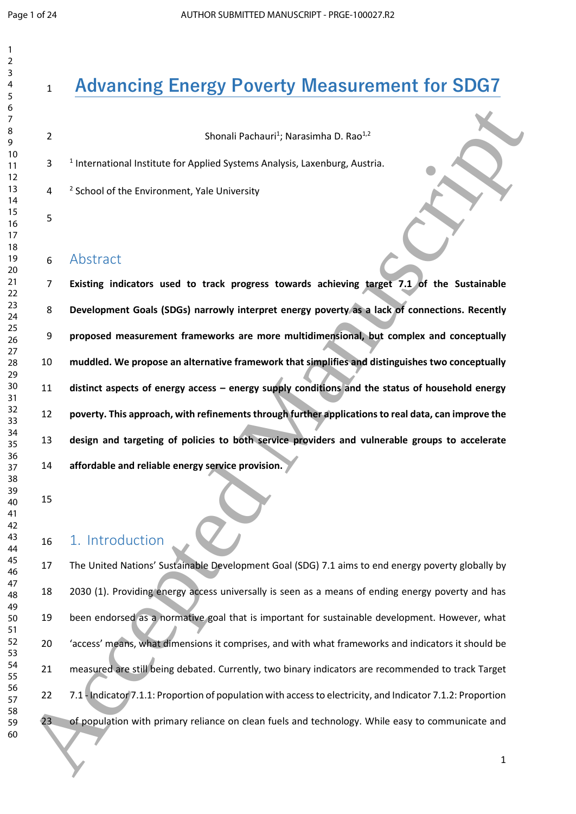# **Advancing Energy Poverty Measurement for SDG7**

**Shonali Pachauri<sup>1</sup>; Narasimha D. Rao<sup>1,2</sup>** 

3 <sup>1</sup> International Institute for Applied Systems Analysis, Laxenburg, Austria.

4 <sup>2</sup> School of the Environment, Yale University

#### Abstract

 **Existing indicators used to track progress towards achieving target 7.1 of the Sustainable Development Goals (SDGs) narrowly interpret energy poverty as a lack of connections. Recently proposed measurement frameworks are more multidimensional, but complex and conceptually muddled. We propose an alternative framework that simplifies and distinguishes two conceptually distinct aspects of energy access – energy supply conditions and the status of household energy poverty. This approach, with refinements through further applications to real data, can improve the design and targeting of policies to both service providers and vulnerable groups to accelerate affordable and reliable energy service provision.**  6<br>  $\frac{6}{2}$ <br>  $\frac{1}{2}$ <br>  $\frac{1}{2}$ <br>  $\frac{1}{2}$ <br>  $\frac{1}{2}$ <br>  $\frac{1}{2}$ <br>  $\frac{1}{2}$ <br>  $\frac{1}{2}$ <br>  $\frac{1}{2}$ <br>  $\frac{1}{2}$ <br>  $\frac{1}{2}$ <br>  $\frac{1}{2}$ <br>  $\frac{1}{2}$ <br>  $\frac{1}{2}$ <br>  $\frac{1}{2}$ <br>  $\frac{1}{2}$ <br>  $\frac{1}{2}$ <br>  $\frac{1}{2}$ <br>  $\frac{1}{2}$ <br>  $\frac{1}{2}$ <br>

### 1. Introduction

 The United Nations' Sustainable Development Goal (SDG) 7.1 aims to end energy poverty globally by 2030 (1). Providing energy access universally is seen as a means of ending energy poverty and has been endorsed as a normative goal that is important for sustainable development. However, what 'access' means, what dimensions it comprises, and with what frameworks and indicators it should be 21 measured are still being debated. Currently, two binary indicators are recommended to track Target 7.1 - Indicator 7.1.1: Proportion of population with access to electricity, and Indicator 7.1.2: Proportion 23 of population with primary reliance on clean fuels and technology. While easy to communicate and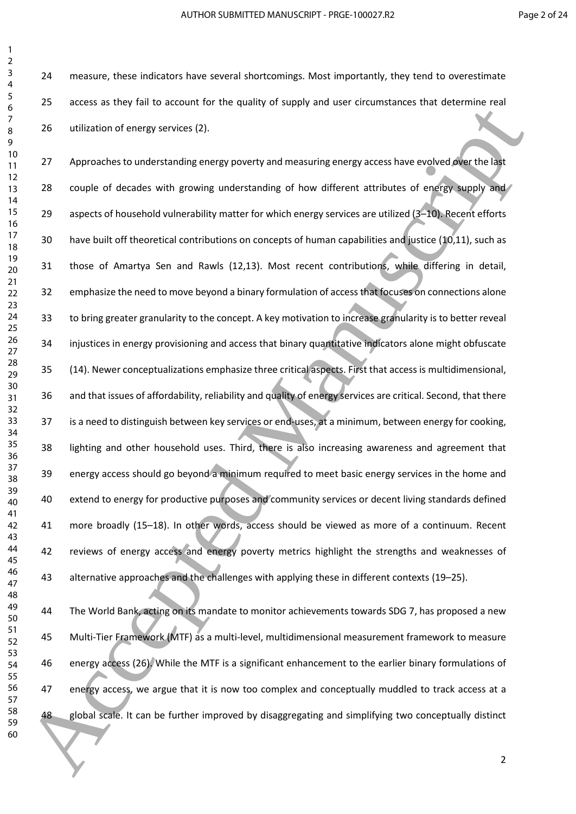measure, these indicators have several shortcomings. Most importantly, they tend to overestimate access as they fail to account for the quality of supply and user circumstances that determine real utilization of energy services (2).

27 Approaches to understanding energy poverty and measuring energy access have evolved over the last 28 couple of decades with growing understanding of how different attributes of energy supply and 29 aspects of household vulnerability matter for which energy services are utilized (3+10). Recent efforts have built off theoretical contributions on concepts of human capabilities and justice (10,11), such as those of Amartya Sen and Rawls (12,13). Most recent contributions, while differing in detail, emphasize the need to move beyond a binary formulation of access that focuses on connections alone to bring greater granularity to the concept. A key motivation to increase granularity is to better reveal injustices in energy provisioning and access that binary quantitative indicators alone might obfuscate (14). Newer conceptualizations emphasize three critical aspects. First that access is multidimensional, and that issues of affordability, reliability and quality of energy services are critical. Second, that there is a need to distinguish between key services or end-uses, at a minimum, between energy for cooking, lighting and other household uses. Third, there is also increasing awareness and agreement that energy access should go beyond a minimum required to meet basic energy services in the home and extend to energy for productive purposes and community services or decent living standards defined more broadly (15–18). In other words, access should be viewed as more of a continuum. Recent 42 reviews of energy access and energy poverty metrics highlight the strengths and weaknesses of alternative approaches and the challenges with applying these in different contexts (19–25). 60 Access as the main ten of the student of the signification into the signification of the student of the studies of the studies and the studies of the studies of the studies of the studies of the studies of the studies o

 The World Bank, acting on its mandate to monitor achievements towards SDG 7, has proposed a new Multi-Tier Framework (MTF) as a multi-level, multidimensional measurement framework to measure energy access (26). While the MTF is a significant enhancement to the earlier binary formulations of 47 energy access, we argue that it is now too complex and conceptually muddled to track access at a global scale. It can be further improved by disaggregating and simplifying two conceptually distinct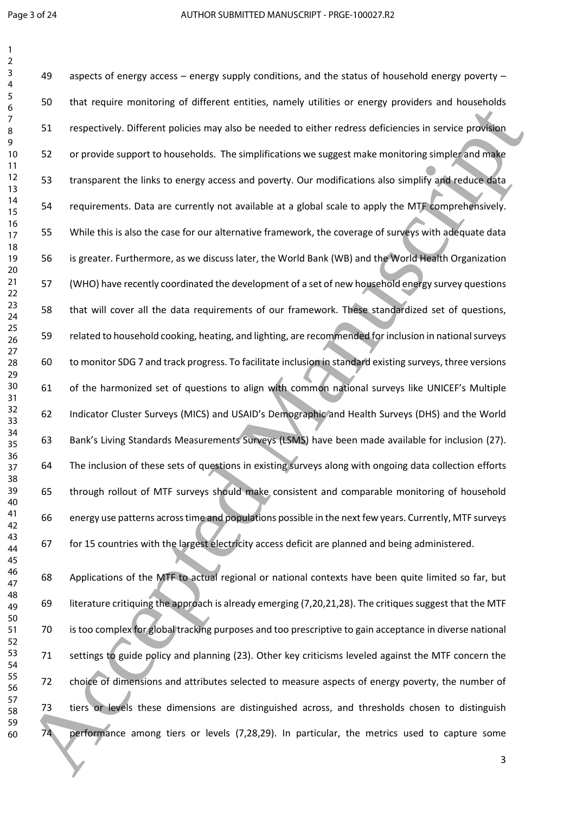aspects of energy access – energy supply conditions, and the status of household energy poverty – that require monitoring of different entities, namely utilities or energy providers and households respectively. Different policies may also be needed to either redress deficiencies in service provision or provide support to households. The simplifications we suggest make monitoring simpler and make transparent the links to energy access and poverty. Our modifications also simplify and reduce data requirements. Data are currently not available at a global scale to apply the MTF comprehensively. While this is also the case for our alternative framework, the coverage of surveys with adequate data is greater. Furthermore, as we discuss later, the World Bank (WB) and the World Health Organization (WHO) have recently coordinated the development of a set of new household energy survey questions that will cover all the data requirements of our framework. These standardized set of questions, related to household cooking, heating, and lighting, are recommended for inclusion in national surveys to monitor SDG 7 and track progress. To facilitate inclusion in standard existing surveys, three versions of the harmonized set of questions to align with common national surveys like UNICEF's Multiple Indicator Cluster Surveys (MICS) and USAID's Demographic and Health Surveys (DHS) and the World Bank's Living Standards Measurements Surveys (LSMS) have been made available for inclusion (27). The inclusion of these sets of questions in existing surveys along with ongoing data collection efforts through rollout of MTF surveys should make consistent and comparable monitoring of household energy use patterns across time and populations possible in the next few years. Currently, MTF surveys for 15 countries with the largest electricity access deficit are planned and being administered. 30 Manuscript Total Total Total Total Total Total Total Total Total Total Total Total Total Total Total Total Total Total Total Total Total Total Total Total Total Total Total Total Total Total Total Total Total Total Tot

 Applications of the MTF to actual regional or national contexts have been quite limited so far, but literature critiquing the approach is already emerging (7,20,21,28). The critiques suggest that the MTF is too complex for global tracking purposes and too prescriptive to gain acceptance in diverse national settings to guide policy and planning (23). Other key criticisms leveled against the MTF concern the choice of dimensions and attributes selected to measure aspects of energy poverty, the number of tiers or levels these dimensions are distinguished across, and thresholds chosen to distinguish performance among tiers or levels (7,28,29). In particular, the metrics used to capture some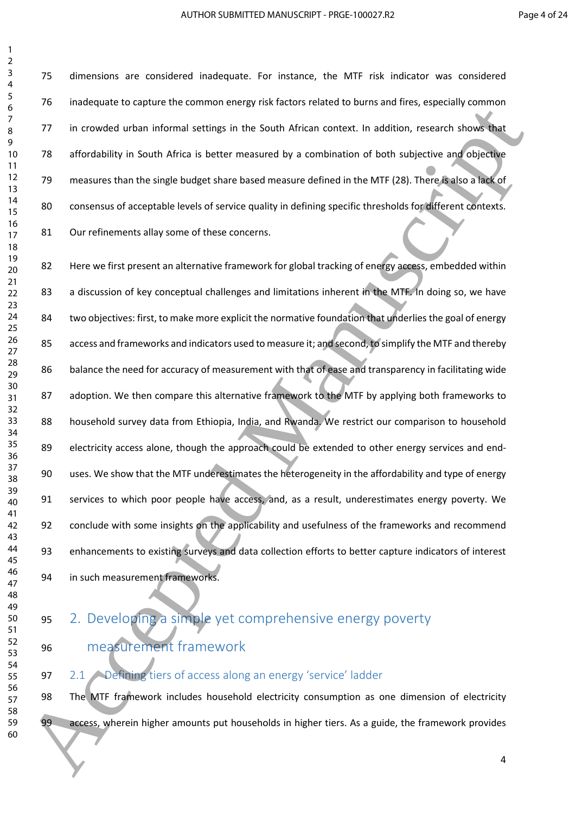dimensions are considered inadequate. For instance, the MTF risk indicator was considered inadequate to capture the common energy risk factors related to burns and fires, especially common in crowded urban informal settings in the South African context. In addition, research shows that affordability in South Africa is better measured by a combination of both subjective and objective measures than the single budget share based measure defined in the MTF (28). There is also a lack of consensus of acceptable levels of service quality in defining specific thresholds for different contexts. 81 Our refinements allay some of these concerns.

82 Here we first present an alternative framework for global tracking of energy access, embedded within 83 a discussion of key conceptual challenges and limitations inherent in the MTF. In doing so, we have 84 two objectives: first, to make more explicit the normative foundation that underlies the goal of energy 85 access and frameworks and indicators used to measure it; and second, to simplify the MTF and thereby balance the need for accuracy of measurement with that of ease and transparency in facilitating wide 87 adoption. We then compare this alternative framework to the MTF by applying both frameworks to 88 household survey data from Ethiopia, India, and Rwanda. We restrict our comparison to household 89 electricity access alone, though the approach could be extended to other energy services and end- uses. We show that the MTF underestimates the heterogeneity in the affordability and type of energy services to which poor people have access, and, as a result, underestimates energy poverty. We conclude with some insights on the applicability and usefulness of the frameworks and recommend enhancements to existing surveys and data collection efforts to better capture indicators of interest in such measurement frameworks. The interesties of the complete the state of the state of the the state of the state of the state of the state of the state of the state of the state of the state of the state of the state of the state of the state of the

## 2. Developing a simple yet comprehensive energy poverty

measurement framework

2.1 Defining tiers of access along an energy 'service' ladder

 The MTF framework includes household electricity consumption as one dimension of electricity 99 access, wherein higher amounts put households in higher tiers. As a guide, the framework provides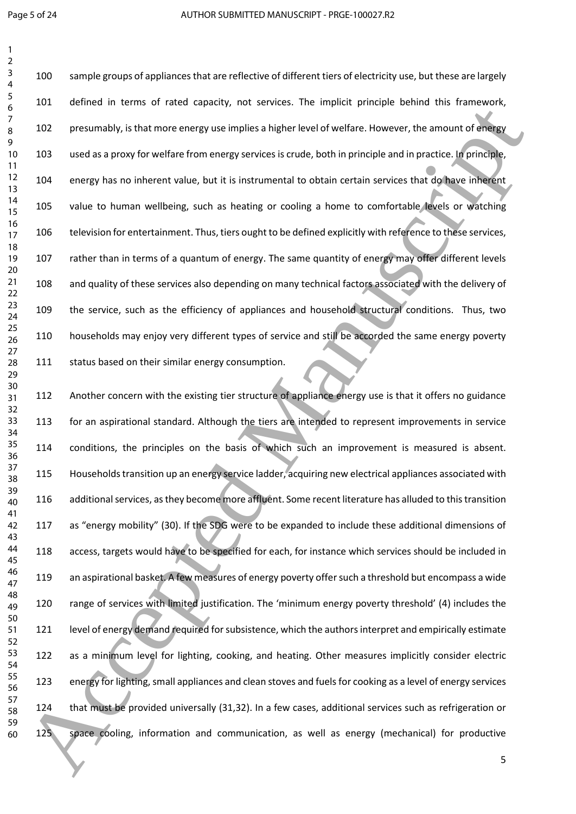sample groups of appliances that are reflective of different tiers of electricity use, but these are largely defined in terms of rated capacity, not services. The implicit principle behind this framework, presumably, is that more energy use implies a higher level of welfare. However, the amount of energy used as a proxy for welfare from energy services is crude, both in principle and in practice. In principle, energy has no inherent value, but it is instrumental to obtain certain services that do have inherent value to human wellbeing, such as heating or cooling a home to comfortable levels or watching television for entertainment. Thus, tiers ought to be defined explicitly with reference to these services, rather than in terms of a quantum of energy. The same quantity of energy may offer different levels and quality of these services also depending on many technical factors associated with the delivery of the service, such as the efficiency of appliances and household structural conditions. Thus, two households may enjoy very different types of service and still be accorded the same energy poverty 111 status based on their similar energy consumption.

 Another concern with the existing tier structure of appliance energy use is that it offers no guidance for an aspirational standard. Although the tiers are intended to represent improvements in service conditions, the principles on the basis of which such an improvement is measured is absent. Householdstransition up an energy service ladder, acquiring new electrical appliances associated with additional services, as they become more affluent. Some recent literature has alluded to this transition as "energy mobility" (30). If the SDG were to be expanded to include these additional dimensions of access, targets would have to be specified for each, for instance which services should be included in an aspirational basket. A few measures of energy poverty offer such a threshold but encompass a wide range of services with limited justification. The 'minimum energy poverty threshold' (4) includes the 121 level of energy demand required for subsistence, which the authors interpret and empirically estimate as a minimum level for lighting, cooking, and heating. Other measures implicitly consider electric energy for lighting, small appliances and clean stoves and fuels for cooking as a level of energy services that must be provided universally (31,32). In a few cases, additional services such as refrigeration or space cooling, information and communication, as well as energy (mechanical) for productive  $\frac{1}{2}$ <br>
22 Accessive in terms of translations and properties a relation to the main of principal properties and  $\frac{1}{2}$ <br>
23 Occurrence in the manuscript of the manuscript of the main of the manuscript of the manuscri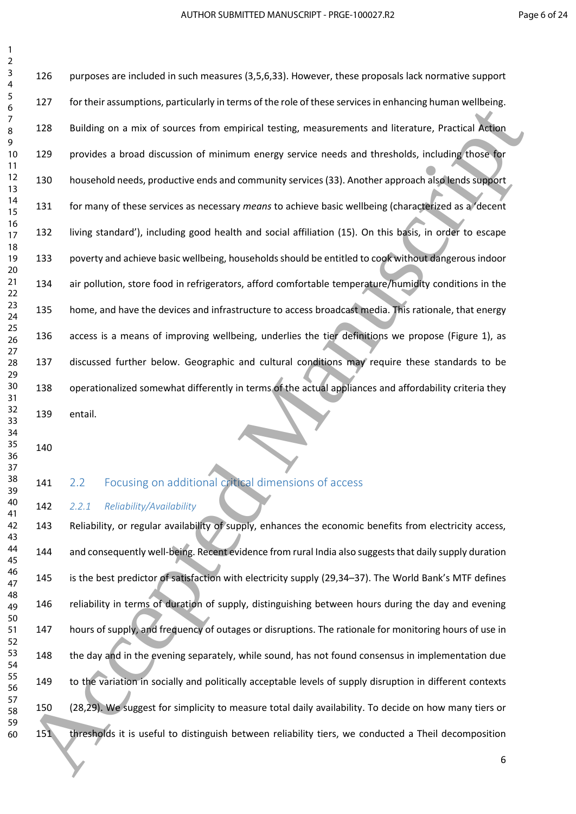purposes are included in such measures (3,5,6,33). However, these proposals lack normative support for their assumptions, particularly in terms of the role of these services in enhancing human wellbeing. Building on a mix of sources from empirical testing, measurements and literature, Practical Action provides a broad discussion of minimum energy service needs and thresholds, including those for household needs, productive ends and community services(33). Another approach also lends support for many of these services as necessary *means* to achieve basic wellbeing (characterized as a 'decent living standard'), including good health and social affiliation (15). On this basis, in order to escape poverty and achieve basic wellbeing, households should be entitled to cook without dangerous indoor air pollution, store food in refrigerators, afford comfortable temperature/humidity conditions in the home, and have the devices and infrastructure to access broadcast media. This rationale, that energy access is a means of improving wellbeing, underlies the tier definitions we propose (Figure 1), as discussed further below. Geographic and cultural conditions may require these standards to be operationalized somewhat differently in terms of the actual appliances and affordability criteria they entail.  $\frac{1}{2}$ <br>  $\frac{1}{2}$ <br>  $\frac{1}{2}$ <br>  $\frac{1}{2}$ <br>  $\frac{1}{2}$ <br>  $\frac{1}{2}$ <br>  $\frac{1}{2}$ <br>  $\frac{1}{2}$ <br>  $\frac{1}{2}$ <br>  $\frac{1}{2}$ <br>  $\frac{1}{2}$ <br>  $\frac{1}{2}$ <br>  $\frac{1}{2}$ <br>  $\frac{1}{2}$ <br>  $\frac{1}{2}$ <br>  $\frac{1}{2}$ <br>  $\frac{1}{2}$ <br>  $\frac{1}{2}$ <br>  $\frac{1}{2}$ <br>  $\frac{1}{2}$ <br>

 

 

 

 

#### 141 2.2 Focusing on additional critical dimensions of access

*2.2.1 Reliability/Availability*

 Reliability, or regular availability of supply, enhances the economic benefits from electricity access, 144 and consequently well-being. Recent evidence from rural India also suggests that daily supply duration is the best predictor of satisfaction with electricity supply (29,34–37). The World Bank's MTF defines reliability in terms of duration of supply, distinguishing between hours during the day and evening hours of supply, and frequency of outages or disruptions. The rationale for monitoring hours of use in the day and in the evening separately, while sound, has not found consensus in implementation due 149 to the variation in socially and politically acceptable levels of supply disruption in different contexts (28,29). We suggest for simplicity to measure total daily availability. To decide on how many tiers or thresholds it is useful to distinguish between reliability tiers, we conducted a Theil decomposition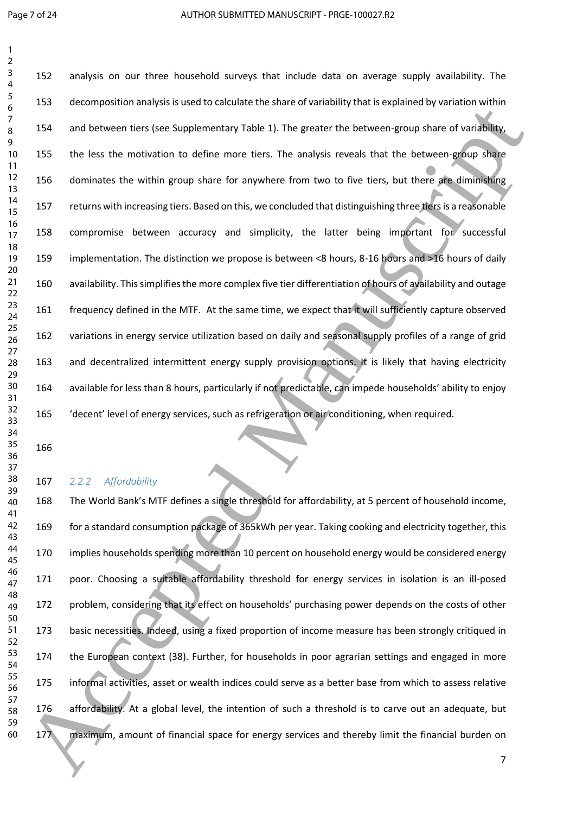analysis on our three household surveys that include data on average supply availability. The decomposition analysis is used to calculate the share of variability that is explained by variation within and between tiers (see Supplementary Table 1). The greater the between-group share of variability, 155 the less the motivation to define more tiers. The analysis reveals that the between-group share dominates the within group share for anywhere from two to five tiers, but there are diminishing returns with increasing tiers. Based on this, we concluded that distinguishing three tiers is a reasonable compromise between accuracy and simplicity, the latter being important for successful implementation. The distinction we propose is between <8 hours, 8-16 hours and >16 hours of daily availability. This simplifies the more complex five tier differentiation of hours of availability and outage frequency defined in the MTF. At the same time, we expect that it will sufficiently capture observed variations in energy service utilization based on daily and seasonal supply profiles of a range of grid and decentralized intermittent energy supply provision options. It is likely that having electricity available for less than 8 hours, particularly if not predictable, can impede households' ability to enjoy 'decent' level of energy services, such as refrigeration or air conditioning, when required. 243 Consideration in the following the state of the state of the state of the state of the state of the state of the state of the state of the state of the state of the state of the state of the state of the state of the s

#### *2.2.2 Affordability*

 The World Bank's MTF defines a single threshold for affordability, at 5 percent of household income, 169 for a standard consumption package of 365kWh per year. Taking cooking and electricity together, this implies households spending more than 10 percent on household energy would be considered energy poor. Choosing a suitable affordability threshold for energy services in isolation is an ill-posed problem, considering that its effect on households' purchasing power depends on the costs of other basic necessities. Indeed, using a fixed proportion of income measure has been strongly critiqued in the European context (38). Further, for households in poor agrarian settings and engaged in more informal activities, asset or wealth indices could serve as a better base from which to assess relative affordability. At a global level, the intention of such a threshold is to carve out an adequate, but maximum, amount of financial space for energy services and thereby limit the financial burden on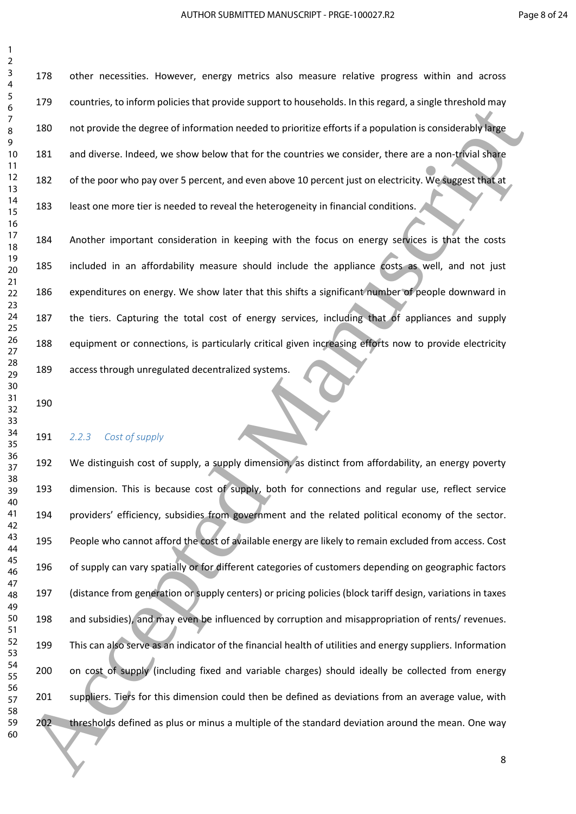other necessities. However, energy metrics also measure relative progress within and across countries, to inform policies that provide support to households. In this regard, a single threshold may not provide the degree of information needed to prioritize efforts if a population is considerably large and diverse. Indeed, we show below that for the countries we consider, there are a non-trivial share of the poor who pay over 5 percent, and even above 10 percent just on electricity. We suggest that at least one more tier is needed to reveal the heterogeneity in financial conditions.

184 Another important consideration in keeping with the focus on energy services is that the costs included in an affordability measure should include the appliance costs as well, and not just expenditures on energy. We show later that this shifts a significant number of people downward in the tiers. Capturing the total cost of energy services, including that of appliances and supply equipment or connections, is particularly critical given increasing efforts now to provide electricity access through unregulated decentralized systems.

#### *2.2.3 Cost of supply*

 We distinguish cost of supply, a supply dimension, as distinct from affordability, an energy poverty dimension. This is because cost of supply, both for connections and regular use, reflect service providers' efficiency, subsidies from government and the related political economy of the sector. People who cannot afford the cost of available energy are likely to remain excluded from access. Cost of supply can vary spatially or for different categories of customers depending on geographic factors (distance from generation or supply centers) or pricing policies (block tariff design, variations in taxes and subsidies), and may even be influenced by corruption and misappropriation of rents/ revenues. This can also serve as an indicator of the financial health of utilities and energy suppliers. Information 200 on cost of supply (including fixed and variable charges) should ideally be collected from energy suppliers. Tiers for this dimension could then be defined as deviations from an average value, with thresholds defined as plus or minus a multiple of the standard deviation around the mean. One way  $\frac{6}{24}$ <br>  $\frac{3}{24}$ <br> **Simple the state of the state of the state of the state of the state of the state of the state of the state of the state of the state of the state of the state of the state of the state of the sta**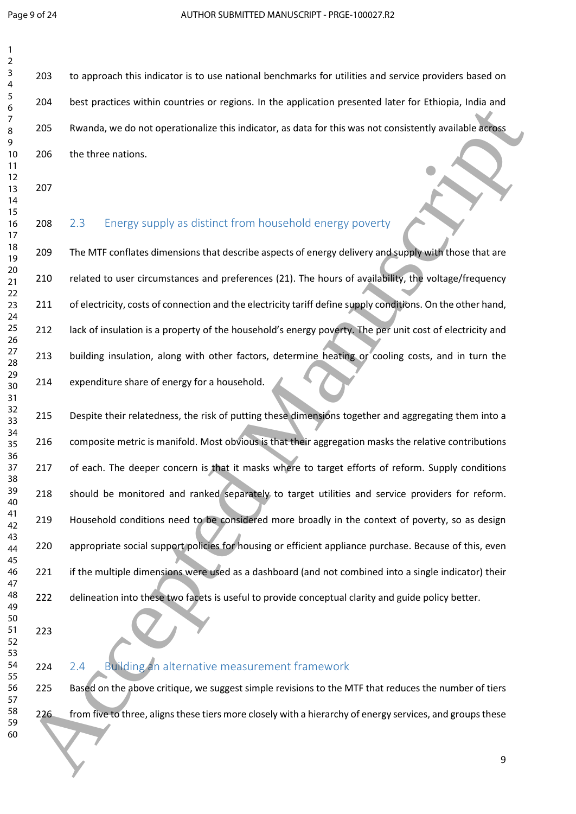to approach this indicator is to use national benchmarks for utilities and service providers based on 204 best practices within countries or regions. In the application presented later for Ethiopia, India and Rwanda, we do not operationalize this indicator, as data for this was not consistently available across the three nations.

- 
- 208 2.3 Energy supply as distinct from household energy poverty

209 The MTF conflates dimensions that describe aspects of energy delivery and supply with those that are related to user circumstances and preferences (21). The hours of availability, the voltage/frequency 211 of electricity, costs of connection and the electricity tariff define supply conditions. On the other hand, 212 lack of insulation is a property of the household's energy poverty. The per unit cost of electricity and 213 building insulation, along with other factors, determine heating or cooling costs, and in turn the expenditure share of energy for a household.

 Despite their relatedness, the risk of putting these dimensions together and aggregating them into a composite metric is manifold. Most obvious is that their aggregation masks the relative contributions 217 of each. The deeper concern is that it masks where to target efforts of reform. Supply conditions 218 should be monitored and ranked separately to target utilities and service providers for reform. 219 Household conditions need to be considered more broadly in the context of poverty, so as design 220 appropriate social support policies for housing or efficient appliance purchase. Because of this, even if the multiple dimensions were used as a dashboard (and not combined into a single indicator) their 222 delineation into these two facets is useful to provide conceptual clarity and guide policy better. compared a memberical members of the state of the state of the state of the state of the state of the state of the state of the state of the state of the state of the state of the state of the state of the state of the sta

#### 224 2.4 Building an alternative measurement framework

225 Based on the above critique, we suggest simple revisions to the MTF that reduces the number of tiers 226 from five to three, aligns these tiers more closely with a hierarchy of energy services, and groups these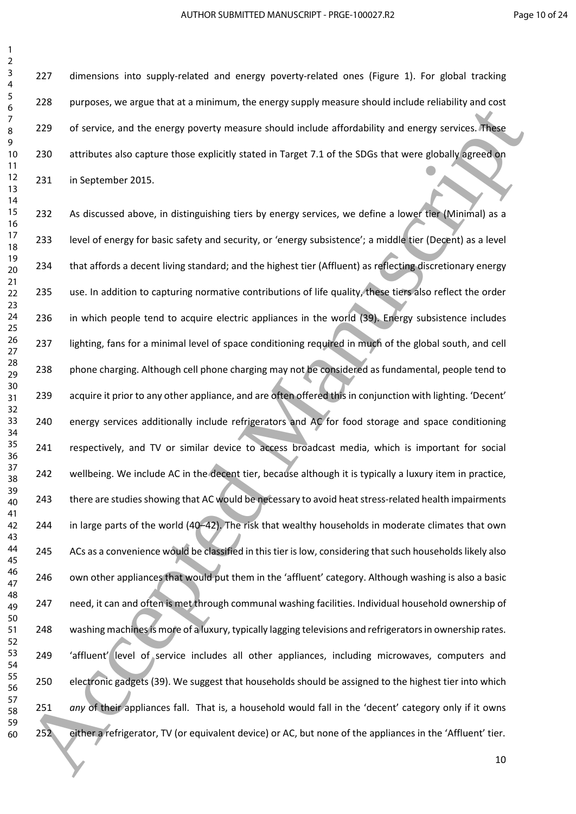227 dimensions into supply-related and energy poverty-related ones (Figure 1). For global tracking purposes, we argue that at a minimum, the energy supply measure should include reliability and cost 229 of service, and the energy poverty measure should include affordability and energy services. These attributes also capture those explicitly stated in Target 7.1 of the SDGs that were globally agreed on in September 2015.

232 As discussed above, in distinguishing tiers by energy services, we define a lower tier (Minimal) as a level of energy for basic safety and security, or 'energy subsistence'; a middle tier (Decent) as a level 234 that affords a decent living standard; and the highest tier (Affluent) as reflecting discretionary energy 235 use. In addition to capturing normative contributions of life quality, these tiers also reflect the order in which people tend to acquire electric appliances in the world (39). Energy subsistence includes 237 lighting, fans for a minimal level of space conditioning required in much of the global south, and cell 238 phone charging. Although cell phone charging may not be considered as fundamental, people tend to acquire it prior to any other appliance, and are often offered this in conjunction with lighting. 'Decent' 240 energy services additionally include refrigerators and AC for food storage and space conditioning respectively, and TV or similar device to access broadcast media, which is important for social 242 wellbeing. We include AC in the decent tier, because although it is typically a luxury item in practice, 243 there are studies showing that AC would be necessary to avoid heat stress-related health impairments in large parts of the world (40–42). The risk that wealthy households in moderate climates that own 245 ACs as a convenience would be classified in this tier is low, considering that such households likely also own other appliances that would put them in the 'affluent' category. Although washing is also a basic 247 need, it can and often is met through communal washing facilities. Individual household ownership of washing machines is more of a luxury, typically lagging televisions and refrigerators in ownership rates. 249 
'affluent' level of service includes all other appliances, including microwaves, computers and electronic gadgets (39). We suggest that households should be assigned to the highest tier into which *any* of their appliances fall. That is, a household would fall in the 'decent' category only if it owns either a refrigerator, TV (or equivalent device) or AC, but none of the appliances in the 'Affluent' tier.  $\frac{4}{32}$ <br>  $\frac{4}{32}$ <br>  $\frac{4}{32}$ <br>  $\frac{4}{32}$ <br>  $\frac{4}{32}$ <br>  $\frac{4}{32}$ <br>  $\frac{4}{32}$ <br>  $\frac{4}{32}$ <br>  $\frac{4}{32}$ <br>  $\frac{4}{32}$ <br>  $\frac{4}{32}$ <br>  $\frac{4}{32}$ <br>  $\frac{4}{32}$ <br>  $\frac{4}{32}$ <br>  $\frac{4}{32}$ <br>  $\frac{4}{32}$ <br>  $\frac{4}{32}$ <br>  $\frac{4}{32}$ <br>  $\frac{4$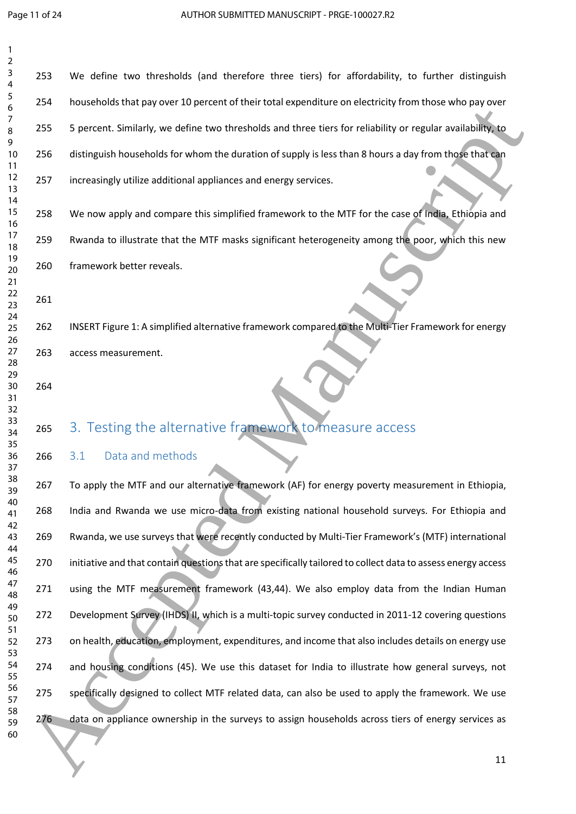| 2                    |     |                                                                                                              |
|----------------------|-----|--------------------------------------------------------------------------------------------------------------|
| 3<br>4               | 253 | We define two thresholds (and therefore three tiers) for affordability, to further distinguish               |
| 5<br>6               | 254 | households that pay over 10 percent of their total expenditure on electricity from those who pay over        |
| 7<br>8<br>9          | 255 | 5 percent. Similarly, we define two thresholds and three tiers for reliability or regular availability, to   |
| 10<br>11             | 256 | distinguish households for whom the duration of supply is less than 8 hours a day from those that can        |
| 12<br>13<br>14       | 257 | increasingly utilize additional appliances and energy services.                                              |
| 15<br>16             | 258 | We now apply and compare this simplified framework to the MTF for the case of India, Ethiopia and            |
| 17<br>18             | 259 | Rwanda to illustrate that the MTF masks significant heterogeneity among the poor, which this new             |
| 19<br>20<br>21       | 260 | framework better reveals.                                                                                    |
| 22<br>23             | 261 |                                                                                                              |
| 24<br>25<br>26       | 262 | INSERT Figure 1: A simplified alternative framework compared to the Multi-Tier Framework for energy          |
| 27<br>28             | 263 | access measurement.                                                                                          |
| 29<br>30<br>31<br>32 | 264 |                                                                                                              |
| 33<br>34<br>35       | 265 | 3. Testing the alternative framework to measure access                                                       |
| 36<br>37             | 266 | Data and methods<br>3.1                                                                                      |
| 38<br>39             | 267 | To apply the MTF and our alternative framework (AF) for energy poverty measurement in Ethiopia,              |
| 40<br>41<br>42       | 268 | India and Rwanda we use micro-data from existing national household surveys. For Ethiopia and                |
| 43<br>44             | 269 | Rwanda, we use surveys that were recently conducted by Multi-Tier Framework's (MTF) international            |
| 45<br>46             | 270 | initiative and that contain questions that are specifically tailored to collect data to assess energy access |
| 47<br>48             | 271 | using the MTF measurement framework (43,44). We also employ data from the Indian Human                       |
| 49<br>50             | 272 | Development Survey (IHDS) II, which is a multi-topic survey conducted in 2011-12 covering questions          |
| 51<br>52<br>53       | 273 | on health, education, employment, expenditures, and income that also includes details on energy use          |
| 54<br>55             | 274 | and housing conditions (45). We use this dataset for India to illustrate how general surveys, not            |
| 56<br>57             | 275 | specifically designed to collect MTF related data, can also be used to apply the framework. We use           |
| 58<br>59<br>60       | 276 | data on appliance ownership in the surveys to assign households across tiers of energy services as           |
|                      |     | 11                                                                                                           |
|                      |     |                                                                                                              |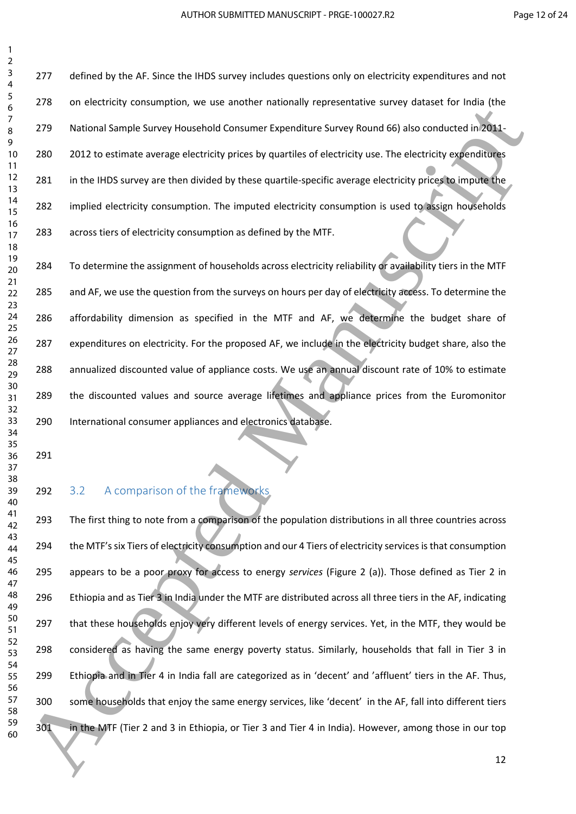> 277 defined by the AF. Since the IHDS survey includes questions only on electricity expenditures and not on electricity consumption, we use another nationally representative survey dataset for India (the National Sample Survey Household Consumer Expenditure Survey Round 66) also conducted in 2011- 2012 to estimate average electricity prices by quartiles of electricity use. The electricity expenditures 281 in the IHDS survey are then divided by these quartile-specific average electricity prices to impute the 282 implied electricity consumption. The imputed electricity consumption is used to assign households across tiers of electricity consumption as defined by the MTF.

 To determine the assignment of households across electricity reliability or availability tiers in the MTF and AF, we use the question from the surveys on hours per day of electricity access. To determine the affordability dimension as specified in the MTF and AF, we determine the budget share of expenditures on electricity. For the proposed AF, we include in the electricity budget share, also the annualized discounted value of appliance costs. We use an annual discount rate of 10% to estimate the discounted values and source average lifetimes and appliance prices from the Euromonitor International consumer appliances and electronics database.

#### 292 3.2 A comparison of the frameworks

 The first thing to note from a comparison of the population distributions in all three countries across the MTF's six Tiers of electricity consumption and our 4 Tiers of electricity services is that consumption appears to be a poor proxy for access to energy *services* (Figure 2 (a)). Those defined as Tier 2 in Ethiopia and as Tier 3 in India under the MTF are distributed across all three tiers in the AF, indicating that these households enjoy very different levels of energy services. Yet, in the MTF, they would be considered as having the same energy poverty status. Similarly, households that fall in Tier 3 in Ethiopia and in Tier 4 in India fall are categorized as in 'decent' and 'affluent' tiers in the AF. Thus, some households that enjoy the same energy services, like 'decent' in the AF, fall into different tiers 301 in the MTF (Tier 2 and 3 in Ethiopia, or Tier 3 and Tier 4 in India). However, among those in our top  $\frac{6}{24}$ <br>  $\frac{2}{24}$ <br>  $\frac{2}{24}$ <br>  $\frac{2}{24}$ <br>  $\frac{2}{24}$ <br>  $\frac{2}{24}$ <br>  $\frac{2}{24}$ <br>  $\frac{2}{24}$ <br>  $\frac{2}{24}$ <br>  $\frac{2}{24}$ <br>  $\frac{2}{24}$ <br>  $\frac{2}{24}$ <br>  $\frac{2}{24}$ <br>  $\frac{2}{24}$ <br>  $\frac{2}{24}$ <br>  $\frac{2}{24}$ <br>  $\frac{2}{24}$ <br>  $\frac{2}{24}$ <br>  $\frac{2$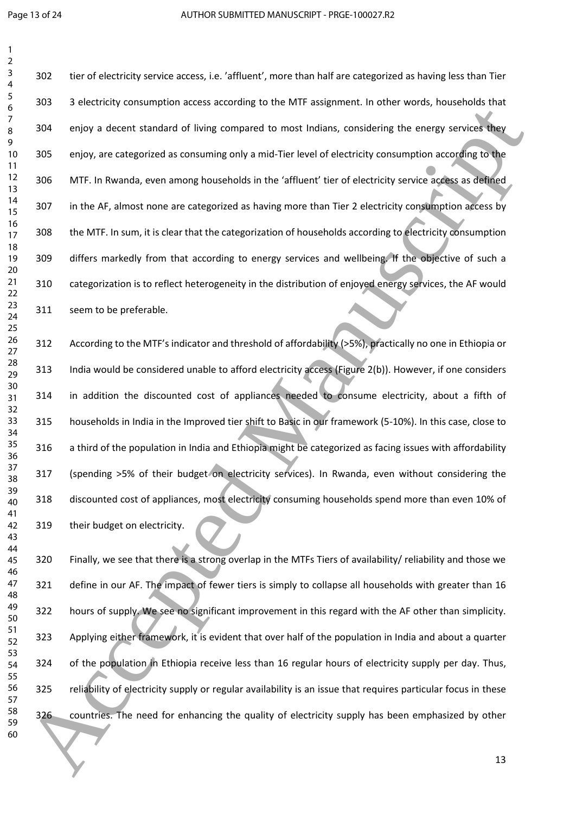tier of electricity service access, i.e. 'affluent', more than half are categorized as having less than Tier 3 electricity consumption access according to the MTF assignment. In other words, households that 304 enjoy a decent standard of living compared to most Indians, considering the energy services they enjoy, are categorized as consuming only a mid-Tier level of electricity consumption according to the MTF. In Rwanda, even among households in the 'affluent' tier of electricity service access as defined 307 in the AF, almost none are categorized as having more than Tier 2 electricity consumption access by the MTF. In sum, it is clear that the categorization of households according to electricity consumption differs markedly from that according to energy services and wellbeing. If the objective of such a categorization is to reflect heterogeneity in the distribution of enjoyed energy services, the AF would seem to be preferable. Consider the material of their general to mathematic interest in the Manuscript of the mathematic server of the mathematic server of the mathematic server of the mathematic server of the mathematic server is the mathematic

 According to the MTF's indicator and threshold of affordability (>5%), practically no one in Ethiopia or India would be considered unable to afford electricity access (Figure 2(b)). However, if one considers in addition the discounted cost of appliances needed to consume electricity, about a fifth of households in India in the Improved tier shift to Basic in our framework (5-10%). In this case, close to a third of the population in India and Ethiopia might be categorized as facing issues with affordability (spending >5% of their budget on electricity services). In Rwanda, even without considering the discounted cost of appliances, most electricity consuming households spend more than even 10% of their budget on electricity.

 Finally, we see that there is a strong overlap in the MTFs Tiers of availability/ reliability and those we define in our AF. The impact of fewer tiers is simply to collapse all households with greater than 16 hours of supply. We see no significant improvement in this regard with the AF other than simplicity. Applying either framework, it is evident that over half of the population in India and about a quarter of the population in Ethiopia receive less than 16 regular hours of electricity supply per day. Thus, 325 reliability of electricity supply or regular availability is an issue that requires particular focus in these countries. The need for enhancing the quality of electricity supply has been emphasized by other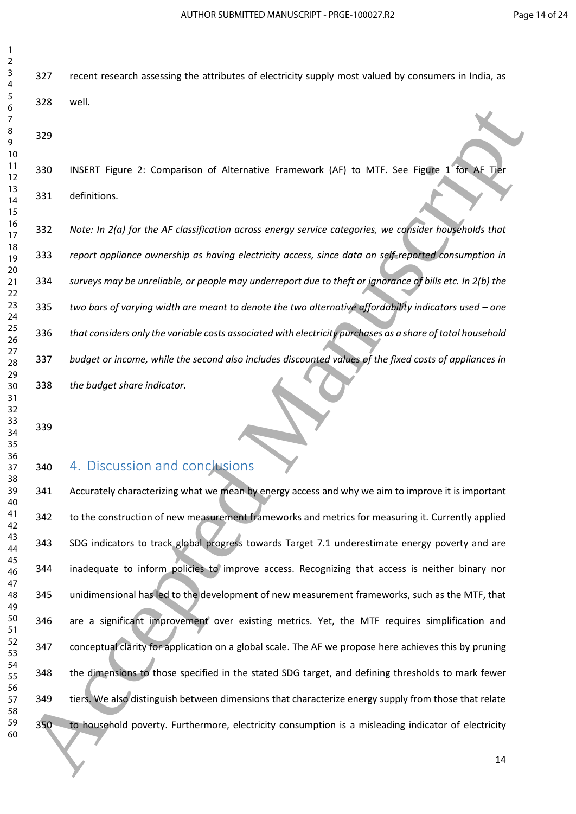recent research assessing the attributes of electricity supply most valued by consumers in India, as well.

 INSERT Figure 2: Comparison of Alternative Framework (AF) to MTF. See Figure 1 for AF Tier definitions.

 *Note: In 2(a) for the AF classification across energy service categories, we consider households that report appliance ownership as having electricity access, since data on self-reported consumption in surveys may be unreliable, or people may underreport due to theft or ignorance of bills etc. In 2(b) the*  335 two bars of varying width are meant to denote the two alternative affordability indicators used – one *that considers only the variable costs associated with electricity purchases as a share of total household budget or income, while the second also includes discounted values of the fixed costs of appliances in the budget share indicator.*

### 4. Discussion and conclusions

 Accurately characterizing what we mean by energy access and why we aim to improve it is important 342 to the construction of new measurement frameworks and metrics for measuring it. Currently applied SDG indicators to track global progress towards Target 7.1 underestimate energy poverty and are inadequate to inform policies to improve access. Recognizing that access is neither binary nor unidimensional has led to the development of new measurement frameworks, such as the MTF, that are a significant improvement over existing metrics. Yet, the MTF requires simplification and conceptual clarity for application on a global scale. The AF we propose here achieves this by pruning the dimensions to those specified in the stated SDG target, and defining thresholds to mark fewer tiers. We also distinguish between dimensions that characterize energy supply from those that relate to household poverty. Furthermore, electricity consumption is a misleading indicator of electricity **Example 120**<br>
18 Accepted Manuscript Compution of Alternative Framework (AF) to MTF. See Figure 1 (West 19<br>
18 33<br>
18 36<br>
18 36<br>
18 36<br>
18 36<br>
18 36<br>
18 36<br>
18 36<br>
18 36<br>
18 36<br>
18 36<br>
18 36<br>
18 36<br>
18 36<br>
18 36<br>
18 36<br>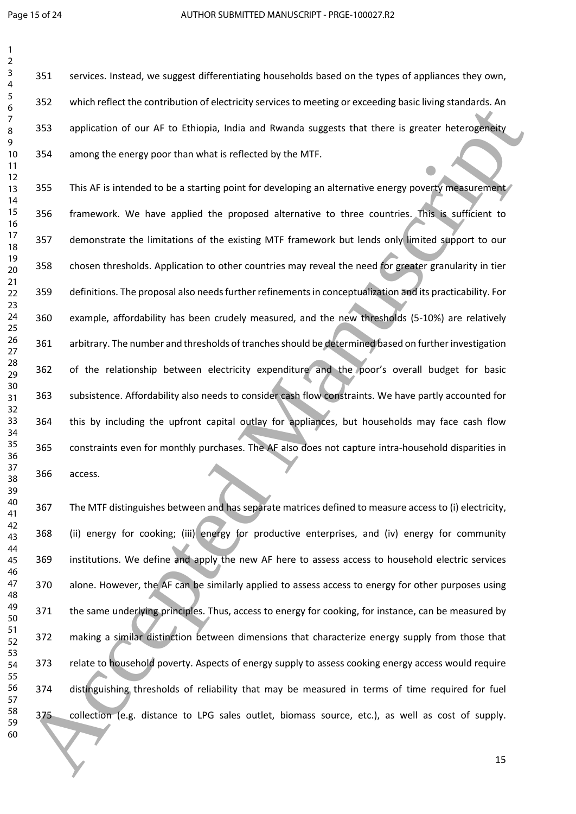services. Instead, we suggest differentiating households based on the types of appliances they own, which reflect the contribution of electricity services to meeting or exceeding basic living standards. An 353 application of our AF to Ethiopia, India and Rwanda suggests that there is greater heterogeneity among the energy poor than what is reflected by the MTF.

355 This AF is intended to be a starting point for developing an alternative energy poverty measurement framework. We have applied the proposed alternative to three countries. This is sufficient to demonstrate the limitations of the existing MTF framework but lends only limited support to our chosen thresholds. Application to other countries may reveal the need for greater granularity in tier definitions. The proposal also needs further refinements in conceptualization and its practicability. For example, affordability has been crudely measured, and the new thresholds (5-10%) are relatively arbitrary. The number and thresholds of tranches should be determined based on further investigation of the relationship between electricity expenditure and the poor's overall budget for basic subsistence. Affordability also needs to consider cash flow constraints. We have partly accounted for this by including the upfront capital outlay for appliances, but households may face cash flow constraints even for monthly purchases. The AF also does not capture intra-household disparities in access. or anomalism continuous continuous continuous continuous continuous continuous continuous continuous continuous continuous continuous continuous continuous continuous continuous continuous continuous continuous continuous

 The MTF distinguishes between and has separate matrices defined to measure access to (i) electricity, (ii) energy for cooking; (iii) energy for productive enterprises, and (iv) energy for community institutions. We define and apply the new AF here to assess access to household electric services alone. However, the AF can be similarly applied to assess access to energy for other purposes using 371 the same underlying principles. Thus, access to energy for cooking, for instance, can be measured by making a similar distinction between dimensions that characterize energy supply from those that 373 relate to household poverty. Aspects of energy supply to assess cooking energy access would require distinguishing thresholds of reliability that may be measured in terms of time required for fuel collection (e.g. distance to LPG sales outlet, biomass source, etc.), as well as cost of supply.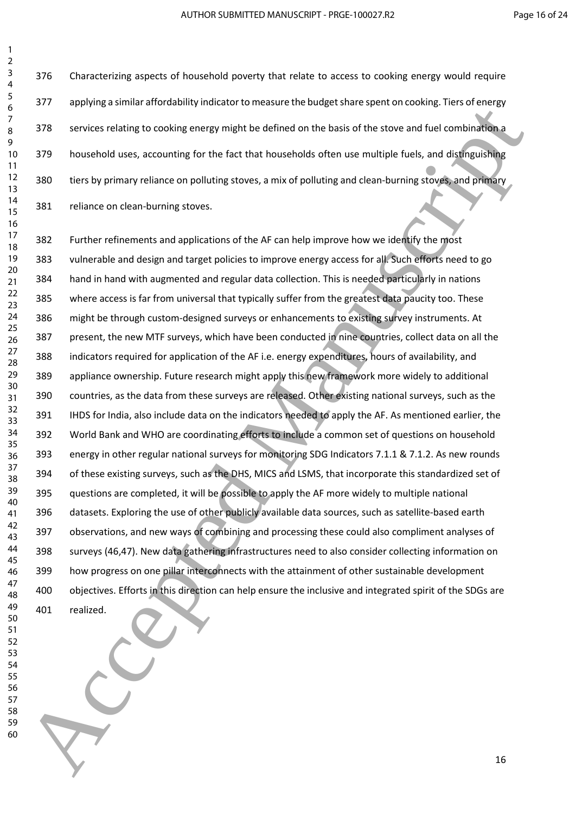Characterizing aspects of household poverty that relate to access to cooking energy would require applying a similar affordability indicator to measure the budget share spent on cooking. Tiers of energy 378 services relating to cooking energy might be defined on the basis of the stove and fuel combination a household uses, accounting for the fact that households often use multiple fuels, and distinguishing tiers by primary reliance on polluting stoves, a mix of polluting and clean-burning stoves, and primary reliance on clean-burning stoves.

 Further refinements and applications of the AF can help improve how we identify the most vulnerable and design and target policies to improve energy access for all. Such efforts need to go hand in hand with augmented and regular data collection. This is needed particularly in nations where access is far from universal that typically suffer from the greatest data paucity too. These might be through custom-designed surveys or enhancements to existing survey instruments. At present, the new MTF surveys, which have been conducted in nine countries, collect data on all the indicators required for application of the AF i.e. energy expenditures, hours of availability, and appliance ownership. Future research might apply this new framework more widely to additional countries, as the data from these surveys are released. Other existing national surveys, such as the IHDS for India, also include data on the indicators needed to apply the AF. As mentioned earlier, the World Bank and WHO are coordinating efforts to include a common set of questions on household energy in other regular national surveys for monitoring SDG Indicators 7.1.1 & 7.1.2. As new rounds of these existing surveys, such as the DHS, MICS and LSMS, that incorporate this standardized set of questions are completed, it will be possible to apply the AF more widely to multiple national datasets. Exploring the use of other publicly available data sources, such as satellite-based earth observations, and new ways of combining and processing these could also compliment analyses of surveys (46,47). New data gathering infrastructures need to also consider collecting information on how progress on one pillar interconnects with the attainment of other sustainable development objectives. Efforts in this direction can help ensure the inclusive and integrated spirit of the SDGs are realized. 60 Accepted Manuscript Columb in Manuscript Columb in Manuscript Columb in Manuscript Columb in Manuscript Columb in Manuscript Columb in Manuscript Columb in Manuscript Columb in Manuscript Columb in Manuscript Columb in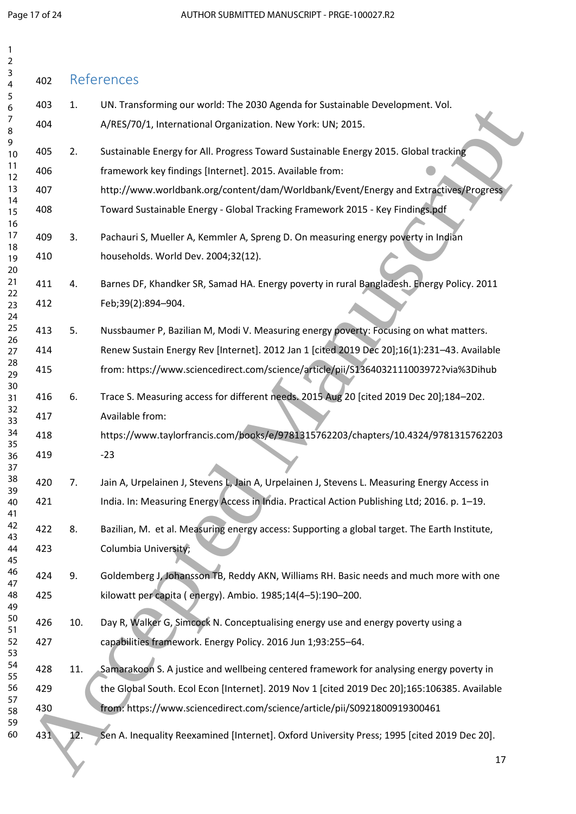| 1<br>2         |     |     |                                                                                               |
|----------------|-----|-----|-----------------------------------------------------------------------------------------------|
| 3<br>4         | 402 |     | References                                                                                    |
| 5<br>6         | 403 | 1.  | UN. Transforming our world: The 2030 Agenda for Sustainable Development. Vol.                 |
| 7<br>8         | 404 |     | A/RES/70/1, International Organization. New York: UN; 2015.                                   |
| 9<br>10        | 405 | 2.  | Sustainable Energy for All. Progress Toward Sustainable Energy 2015. Global tracking          |
| 11<br>12       | 406 |     | framework key findings [Internet]. 2015. Available from:                                      |
| 13             | 407 |     | http://www.worldbank.org/content/dam/Worldbank/Event/Energy and Extractives/Progress          |
| 14<br>15       | 408 |     | Toward Sustainable Energy - Global Tracking Framework 2015 - Key Findings.pdf                 |
| 16<br>17       | 409 | 3.  | Pachauri S, Mueller A, Kemmler A, Spreng D. On measuring energy poverty in Indian             |
| 18<br>19<br>20 | 410 |     | households. World Dev. 2004;32(12).                                                           |
| 21             | 411 | 4.  | Barnes DF, Khandker SR, Samad HA. Energy poverty in rural Bangladesh. Energy Policy. 2011     |
| 22<br>23<br>24 | 412 |     | Feb;39(2):894-904.                                                                            |
| 25             | 413 | 5.  | Nussbaumer P, Bazilian M, Modi V. Measuring energy poverty: Focusing on what matters.         |
| 26<br>27       | 414 |     | Renew Sustain Energy Rev [Internet]. 2012 Jan 1 [cited 2019 Dec 20];16(1):231-43. Available   |
| 28<br>29       | 415 |     | from: https://www.sciencedirect.com/science/article/pii/\$1364032111003972?via%3Dihub         |
| 30<br>31       | 416 | 6.  | Trace S. Measuring access for different needs. 2015 Aug 20 [cited 2019 Dec 20];184-202.       |
| 32<br>33       | 417 |     | Available from:                                                                               |
| 34<br>35       | 418 |     | https://www.taylorfrancis.com/books/e/9781315762203/chapters/10.4324/9781315762203            |
| 36<br>37       | 419 |     | $-23$                                                                                         |
| 38             | 420 | 7.  | Jain A, Urpelainen J, Stevens L, Jain A, Urpelainen J, Stevens L. Measuring Energy Access in  |
| 39<br>40<br>41 | 421 |     | India. In: Measuring Energy Access in India. Practical Action Publishing Ltd; 2016. p. 1-19.  |
| 42<br>43       | 422 | 8.  | Bazilian, M. et al. Measuring energy access: Supporting a global target. The Earth Institute, |
| 44<br>45       | 423 |     | Columbia University;                                                                          |
| 46<br>47       | 424 | 9.  | Goldemberg J, Johansson TB, Reddy AKN, Williams RH. Basic needs and much more with one        |
| 48<br>49       | 425 |     | kilowatt per capita (energy). Ambio. 1985;14(4-5):190-200.                                    |
| 50<br>51       | 426 | 10. | Day R, Walker G, Simcock N. Conceptualising energy use and energy poverty using a             |
| 52<br>53       | 427 |     | capabilities framework. Energy Policy. 2016 Jun 1;93:255-64.                                  |
| 54<br>55       | 428 | 11. | Samarakoon S. A justice and wellbeing centered framework for analysing energy poverty in      |
| 56             | 429 |     | the Global South. Ecol Econ [Internet]. 2019 Nov 1 [cited 2019 Dec 20];165:106385. Available  |
| 57<br>58       | 430 |     | from: https://www.sciencedirect.com/science/article/pii/S0921800919300461                     |
| 59<br>60       | 431 | 12. | Sen A. Inequality Reexamined [Internet]. Oxford University Press; 1995 [cited 2019 Dec 20].   |
|                |     |     | 17                                                                                            |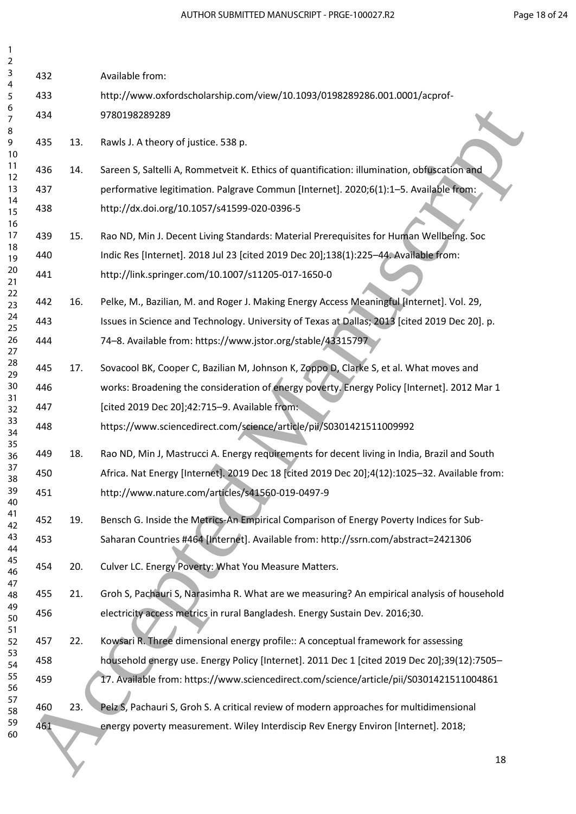| 2<br>3         |     |     |                                                                                               |  |
|----------------|-----|-----|-----------------------------------------------------------------------------------------------|--|
| 4              | 432 |     | Available from:                                                                               |  |
| 5<br>6         | 433 |     | http://www.oxfordscholarship.com/view/10.1093/0198289286.001.0001/acprof-                     |  |
| 7              | 434 |     | 9780198289289                                                                                 |  |
| 8<br>9<br>10   | 435 | 13. | Rawls J. A theory of justice. 538 p.                                                          |  |
| 11<br>12       | 436 | 14. | Sareen S, Saltelli A, Rommetveit K. Ethics of quantification: illumination, obfuscation and   |  |
| 13             | 437 |     | performative legitimation. Palgrave Commun [Internet]. 2020;6(1):1-5. Available from:         |  |
| 14<br>15<br>16 | 438 |     | http://dx.doi.org/10.1057/s41599-020-0396-5                                                   |  |
| 17             | 439 | 15. | Rao ND, Min J. Decent Living Standards: Material Prerequisites for Human Wellbeing. Soc       |  |
| 18<br>19       | 440 |     | Indic Res [Internet]. 2018 Jul 23 [cited 2019 Dec 20];138(1):225-44. Available from:          |  |
| 20<br>21       | 441 |     | http://link.springer.com/10.1007/s11205-017-1650-0                                            |  |
| 22             |     |     |                                                                                               |  |
| 23<br>24       | 442 | 16. | Pelke, M., Bazilian, M. and Roger J. Making Energy Access Meaningful [Internet]. Vol. 29,     |  |
| 25             | 443 |     | Issues in Science and Technology. University of Texas at Dallas; 2013 [cited 2019 Dec 20]. p. |  |
| 26<br>27       | 444 |     | 74-8. Available from: https://www.jstor.org/stable/43315797                                   |  |
| 28<br>29       | 445 | 17. | Sovacool BK, Cooper C, Bazilian M, Johnson K, Zoppo D, Clarke S, et al. What moves and        |  |
| 30             | 446 |     | works: Broadening the consideration of energy poverty. Energy Policy [Internet]. 2012 Mar 1   |  |
| 31<br>32       | 447 |     | [cited 2019 Dec 20];42:715-9. Available from:                                                 |  |
| 33<br>34       | 448 |     | https://www.sciencedirect.com/science/article/pii/S0301421511009992                           |  |
| 35<br>36       | 449 | 18. | Rao ND, Min J, Mastrucci A. Energy requirements for decent living in India, Brazil and South  |  |
| 37<br>38       | 450 |     | Africa. Nat Energy [Internet]. 2019 Dec 18 [cited 2019 Dec 20];4(12):1025-32. Available from: |  |
| 39<br>40       | 451 |     | http://www.nature.com/articles/s41560-019-0497-9                                              |  |
| 41<br>42       | 452 | 19. | Bensch G. Inside the Metrics-An Empirical Comparison of Energy Poverty Indices for Sub-       |  |
| 43<br>44       | 453 |     | Saharan Countries #464 [Internet]. Available from: http://ssrn.com/abstract=2421306           |  |
| 45<br>46       | 454 | 20. | Culver LC. Energy Poverty: What You Measure Matters.                                          |  |
| 47<br>48       | 455 | 21. | Groh S, Pachauri S, Narasimha R. What are we measuring? An empirical analysis of household    |  |
| 49<br>50<br>51 | 456 |     | electricity access metrics in rural Bangladesh. Energy Sustain Dev. 2016;30.                  |  |
| 52             | 457 | 22. | Kowsari R. Three dimensional energy profile:: A conceptual framework for assessing            |  |
| 53<br>54       | 458 |     | household energy use. Energy Policy [Internet]. 2011 Dec 1 [cited 2019 Dec 20];39(12):7505-   |  |
| 55<br>56       | 459 |     | 17. Available from: https://www.sciencedirect.com/science/article/pii/S0301421511004861       |  |
| 57<br>58       | 460 | 23. | Pelz S, Pachauri S, Groh S. A critical review of modern approaches for multidimensional       |  |
| 59<br>60       | 461 |     | energy poverty measurement. Wiley Interdiscip Rev Energy Environ [Internet]. 2018;            |  |
|                |     |     |                                                                                               |  |
|                |     |     | 18                                                                                            |  |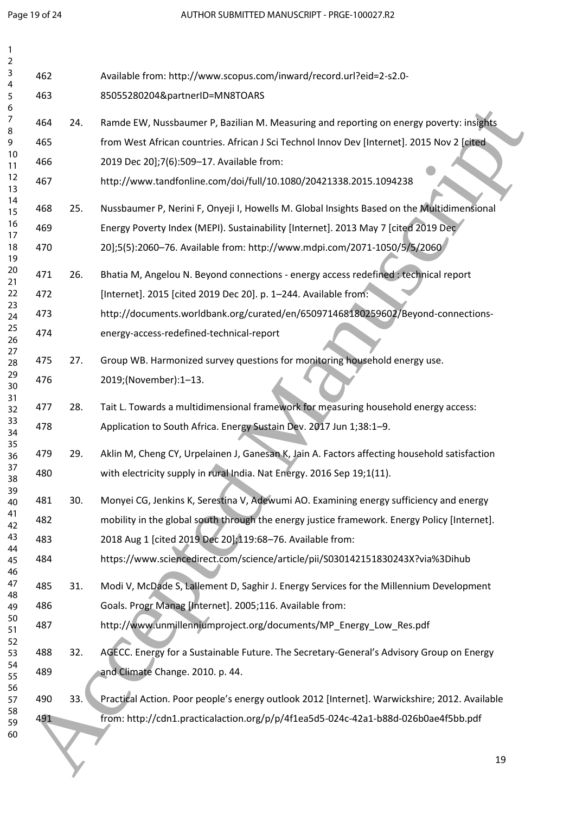| $\overline{2}$<br>3 | 462 |     | Available from: http://www.scopus.com/inward/record.url?eid=2-s2.0-                           |    |
|---------------------|-----|-----|-----------------------------------------------------------------------------------------------|----|
| 4<br>5              | 463 |     | 85055280204&partnerID=MN8TOARS                                                                |    |
| 6                   |     |     |                                                                                               |    |
| 7<br>8              | 464 | 24. | Ramde EW, Nussbaumer P, Bazilian M. Measuring and reporting on energy poverty: insights       |    |
| 9<br>10             | 465 |     | from West African countries. African J Sci Technol Innov Dev [Internet]. 2015 Nov 2 [cited]   |    |
| 11                  | 466 |     | 2019 Dec 20];7(6):509-17. Available from:                                                     |    |
| 12<br>13            | 467 |     | http://www.tandfonline.com/doi/full/10.1080/20421338.2015.1094238                             |    |
| 14<br>15            | 468 | 25. | Nussbaumer P, Nerini F, Onyeji I, Howells M. Global Insights Based on the Multidimensional    |    |
| 16<br>17            | 469 |     | Energy Poverty Index (MEPI). Sustainability [Internet]. 2013 May 7 [cited 2019 Dec            |    |
| 18<br>19            | 470 |     | 20];5(5):2060-76. Available from: http://www.mdpi.com/2071-1050/5/5/2060                      |    |
| 20<br>21            | 471 | 26. | Bhatia M, Angelou N. Beyond connections - energy access redefined : technical report          |    |
| 22                  | 472 |     | [Internet]. 2015 [cited 2019 Dec 20]. p. 1-244. Available from:                               |    |
| 23<br>24            | 473 |     | http://documents.worldbank.org/curated/en/650971468180259602/Beyond-connections-              |    |
| 25<br>26            | 474 |     | energy-access-redefined-technical-report                                                      |    |
| 27<br>28            | 475 | 27. | Group WB. Harmonized survey questions for monitoring household energy use.                    |    |
| 29<br>30            | 476 |     | 2019;(November):1-13.                                                                         |    |
| 31<br>32            | 477 | 28. | Tait L. Towards a multidimensional framework for measuring household energy access:           |    |
| 33<br>34            | 478 |     | Application to South Africa. Energy Sustain Dev. 2017 Jun 1;38:1-9.                           |    |
| 35<br>36            | 479 | 29. | Aklin M, Cheng CY, Urpelainen J, Ganesan K, Jain A. Factors affecting household satisfaction  |    |
| 37<br>38            | 480 |     | with electricity supply in rural India. Nat Energy. 2016 Sep 19;1(11).                        |    |
| 39<br>40            | 481 | 30. | Monyei CG, Jenkins K, Serestina V, Adewumi AO. Examining energy sufficiency and energy        |    |
| 41<br>42            | 482 |     | mobility in the global south through the energy justice framework. Energy Policy [Internet].  |    |
| 43                  | 483 |     | 2018 Aug 1 [cited 2019 Dec 20];119:68-76. Available from:                                     |    |
| 44<br>45<br>46      | 484 |     | https://www.sciencedirect.com/science/article/pii/S030142151830243X?via%3Dihub                |    |
| 47                  | 485 | 31. | Modi V, McDade S, Lallement D, Saghir J. Energy Services for the Millennium Development       |    |
| 48<br>49            | 486 |     | Goals. Progr Manag [Internet]. 2005;116. Available from:                                      |    |
| 50<br>51            | 487 |     | http://www.unmillenniumproject.org/documents/MP_Energy_Low_Res.pdf                            |    |
| 52<br>53            | 488 | 32. | AGECC. Energy for a Sustainable Future. The Secretary-General's Advisory Group on Energy      |    |
| 54<br>55            | 489 |     | and Climate Change. 2010. p. 44.                                                              |    |
| 56<br>57            | 490 | 33. | Practical Action. Poor people's energy outlook 2012 [Internet]. Warwickshire; 2012. Available |    |
| 58<br>59            | 491 |     | from: http://cdn1.practicalaction.org/p/p/4f1ea5d5-024c-42a1-b88d-026b0ae4f5bb.pdf            |    |
| 60                  |     |     |                                                                                               |    |
|                     |     |     |                                                                                               | 19 |
|                     |     |     |                                                                                               |    |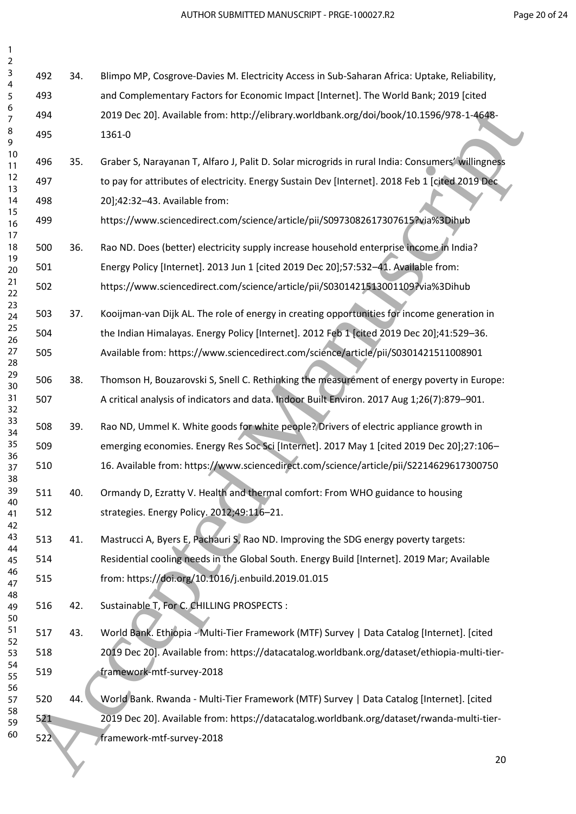34. Blimpo MP, Cosgrove-Davies M. Electricity Access in Sub-Saharan Africa: Uptake, Reliability, and Complementary Factors for Economic Impact [Internet]. The World Bank; 2019 [cited 2019 Dec 20]. Available from: http://elibrary.worldbank.org/doi/book/10.1596/978-1-4648- 1361-0 35. Graber S, Narayanan T, Alfaro J, Palit D. Solar microgrids in rural India: Consumers' willingness to pay for attributes of electricity. Energy Sustain Dev [Internet]. 2018 Feb 1 [cited 2019 Dec 20];42:32–43. Available from: https://www.sciencedirect.com/science/article/pii/S0973082617307615?via%3Dihub 36. Rao ND. Does (better) electricity supply increase household enterprise income in India? Energy Policy [Internet]. 2013 Jun 1 [cited 2019 Dec 20];57:532–41. Available from: https://www.sciencedirect.com/science/article/pii/S0301421513001109?via%3Dihub 37. Kooijman-van Dijk AL. The role of energy in creating opportunities for income generation in the Indian Himalayas. Energy Policy [Internet]. 2012 Feb 1 [cited 2019 Dec 20];41:529–36. Available from: https://www.sciencedirect.com/science/article/pii/S0301421511008901 38. Thomson H, Bouzarovski S, Snell C. Rethinking the measurement of energy poverty in Europe: A critical analysis of indicators and data. Indoor Built Environ. 2017 Aug 1;26(7):879–901. 39. Rao ND, Ummel K. White goods for white people? Drivers of electric appliance growth in emerging economies. Energy Res Soc Sci [Internet]. 2017 May 1 [cited 2019 Dec 20];27:106– 16. Available from: https://www.sciencedirect.com/science/article/pii/S2214629617300750 40. Ormandy D, Ezratty V. Health and thermal comfort: From WHO guidance to housing strategies. Energy Policy. 2012;49:116–21. 41. Mastrucci A, Byers E, Pachauri S, Rao ND. Improving the SDG energy poverty targets: Residential cooling needs in the Global South. Energy Build [Internet]. 2019 Mar; Available from: https://doi.org/10.1016/j.enbuild.2019.01.015 42. Sustainable T, For C. CHILLING PROSPECTS : 43. World Bank. Ethiopia - Multi-Tier Framework (MTF) Survey | Data Catalog [Internet]. [cited 2019 Dec 20]. Available from: https://datacatalog.worldbank.org/dataset/ethiopia-multi-tier- framework-mtf-survey-2018 44. World Bank. Rwanda - Multi-Tier Framework (MTF) Survey | Data Catalog [Internet]. [cited 2019 Dec 20]. Available from: https://datacatalog.worldbank.org/dataset/rwanda-multi-tier- framework-mtf-survey-2018 6<br>
6 Asset 2013 Dec 201 Available from: https://elibrary.vooltdank.org/sto/book/101396/978-1-4648-<br>
80 Accepted Manuscriptics (Namy Action 1, Palis D. Solar microsystem (Namy Accepted Manuscriptics (Namy Accepted<br>
10 Acce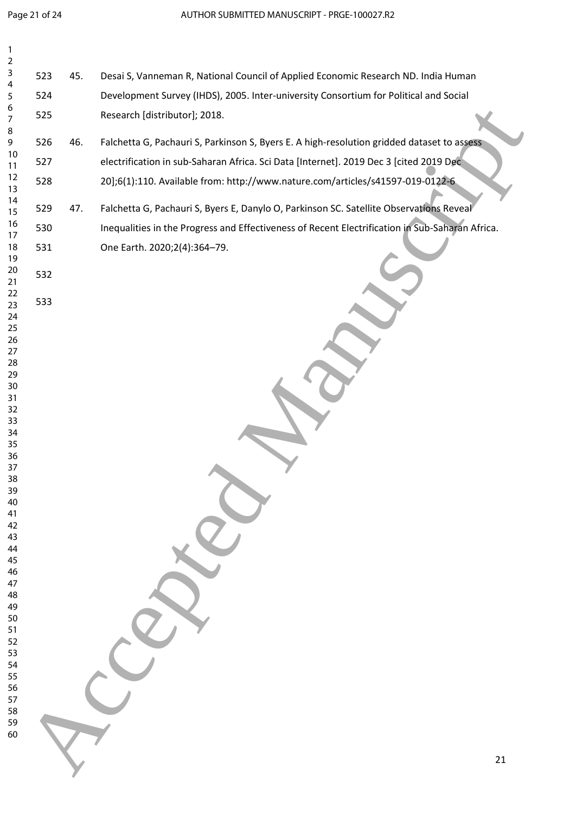| $\mathbf{1}$<br>$\mathbf 2$ |     |     |                                                                                                 |    |
|-----------------------------|-----|-----|-------------------------------------------------------------------------------------------------|----|
| 3                           | 523 | 45. | Desai S, Vanneman R, National Council of Applied Economic Research ND. India Human              |    |
| 4<br>5                      | 524 |     | Development Survey (IHDS), 2005. Inter-university Consortium for Political and Social           |    |
| 6<br>7<br>8                 | 525 |     | Research [distributor]; 2018.                                                                   |    |
| 9                           | 526 | 46. | Falchetta G, Pachauri S, Parkinson S, Byers E. A high-resolution gridded dataset to assess      |    |
| 10<br>11                    | 527 |     | electrification in sub-Saharan Africa. Sci Data [Internet]. 2019 Dec 3 [cited 2019 Dec          |    |
| 12<br>13                    | 528 |     | 20];6(1):110. Available from: http://www.nature.com/articles/s41597-019-0122-6                  |    |
| 14<br>15                    | 529 | 47. | Falchetta G, Pachauri S, Byers E, Danylo O, Parkinson SC. Satellite Observations Reveal         |    |
| 16<br>17                    | 530 |     | Inequalities in the Progress and Effectiveness of Recent Electrification in Sub-Saharan Africa. |    |
| 18<br>19                    | 531 |     | One Earth. 2020;2(4):364-79.                                                                    |    |
| 20<br>21                    | 532 |     |                                                                                                 |    |
| 22<br>23<br>24              | 533 |     |                                                                                                 |    |
| 25<br>26                    |     |     |                                                                                                 |    |
| 27<br>28<br>29              |     |     |                                                                                                 |    |
| $30$<br>31                  |     |     |                                                                                                 |    |
| 32<br>33                    |     |     |                                                                                                 |    |
| 34<br>35<br>36              |     |     |                                                                                                 |    |
| 37<br>38                    |     |     |                                                                                                 |    |
| 39<br>40<br>41              |     |     |                                                                                                 |    |
| 42<br>43                    |     |     |                                                                                                 |    |
| 44<br>45                    |     |     |                                                                                                 |    |
| 46<br>47<br>48              |     |     |                                                                                                 |    |
| 49<br>50                    |     |     |                                                                                                 |    |
| 51<br>52                    |     |     |                                                                                                 |    |
| 53<br>54<br>55              |     |     |                                                                                                 |    |
| 56<br>57                    |     |     |                                                                                                 |    |
| 58<br>59                    |     |     |                                                                                                 |    |
| 60                          |     |     |                                                                                                 | 21 |
|                             |     |     |                                                                                                 |    |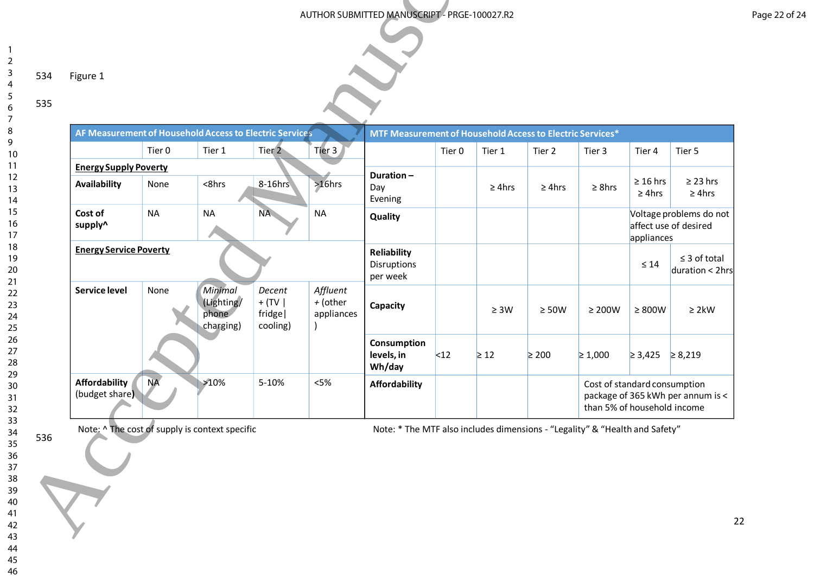535

 $\overline{\phantom{a}}$  $\overline{2}$  $\overline{\mathbf{3}}$  $\overline{4}$  $\overline{5}$ 6

|                    |                                              |                             |                                                         |                                                  |                                    | AUTHOR SUBMITTED MANUSCRIPT - PRGE-100027.R2              |        |             |             |                     |                              |                                                  |
|--------------------|----------------------------------------------|-----------------------------|---------------------------------------------------------|--------------------------------------------------|------------------------------------|-----------------------------------------------------------|--------|-------------|-------------|---------------------|------------------------------|--------------------------------------------------|
|                    |                                              |                             |                                                         |                                                  |                                    |                                                           |        |             |             |                     |                              |                                                  |
| Figure 1           |                                              |                             |                                                         |                                                  |                                    |                                                           |        |             |             |                     |                              |                                                  |
|                    |                                              |                             |                                                         |                                                  |                                    |                                                           |        |             |             |                     |                              |                                                  |
|                    |                                              |                             | AF Measurement of Household Access to Electric Services |                                                  |                                    | MTF Measurement of Household Access to Electric Services* |        |             |             |                     |                              |                                                  |
|                    |                                              | Tier 0                      | Tier 1                                                  | Tier 2                                           | Tier 3                             |                                                           | Tier 0 | Tier 1      | Tier 2      | Tier 3              | Tier 4                       | Tier 5                                           |
|                    | <b>Energy Supply Poverty</b><br>Availability | None                        | $<$ 8hrs                                                | 8-16hrs                                          | $>16$ hrs                          | Duration-<br>Day<br>Evening                               |        | $\geq$ 4hrs | $\geq$ 4hrs | $\geq$ 8hrs         | $\geq 16$ hrs<br>$\geq$ 4hrs | $\geq$ 23 hrs<br>$\geq$ 4hrs                     |
| Cost of<br>supply^ |                                              | <b>NA</b>                   | <b>NA</b>                                               | <b>NA</b>                                        | <b>NA</b>                          | Quality                                                   |        |             |             |                     | appliances                   | Voltage problems do not<br>affect use of desired |
|                    | <b>Energy Service Poverty</b>                |                             |                                                         |                                                  |                                    | Reliability<br>Disruptions<br>per week                    |        |             |             |                     | $\leq 14$                    | $\leq$ 3 of total<br>duration < 2hrs             |
|                    | <b>Service level</b>                         | None                        | Minimal<br>(Lighting/<br>phone<br>charging)             | Decent<br>$+$ (TV $\vert$<br>fridge <br>cooling) | Affluent<br>+ (other<br>appliances | Capacity                                                  |        | $\geq 3W$   | $\geq 50W$  | $\geq 200 \text{W}$ | $\geq 800 \text{W}$          | $\geq 2 \, \text{kW}$                            |
|                    |                                              |                             |                                                         |                                                  |                                    | Consumption<br>levels, in<br>Wh/day                       | $12$   | $\geq 12$   | $\geq 200$  | $\geq 1,000$        | $≥ 3,425$ ≥ 8,219            |                                                  |
|                    | <b>Affordability</b>                         | <b>NA</b><br>(budget share) | >10%                                                    | 5-10%                                            | $<5\%$                             | <b>Affordability</b>                                      |        |             |             |                     | Cost of standard consumption | package of 365 kWh per annum is <                |

46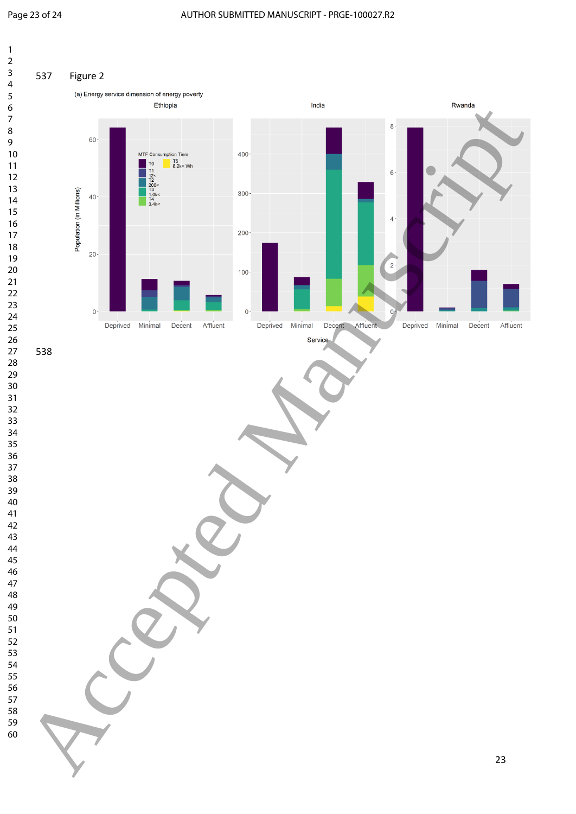